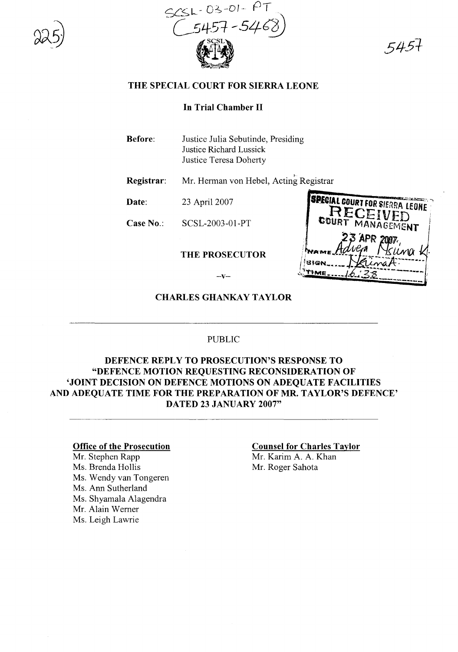



5451

### **THE SPECIAL COURT FOR SIERRA LEONE**

# **In Trial Chamber II**

| <b>Before:</b> | Justice Julia Sebutinde, Presiding |
|----------------|------------------------------------|
|                | Justice Richard Lussick            |
|                | Justice Teresa Doherty             |

**Registrar:** Mr. Herman von Hebel, Acting Registrar

**Date:** 23 April 2007

**Case** No.: SCSL-2003-01-PT

#### **THE PROSECUTOR**

| <b>ISPECIAL COURT FOR SIERRA LEONE</b> |
|----------------------------------------|
|                                        |
| RECEIVED                               |
|                                        |
|                                        |
| COURT MANAGEMENT                       |
|                                        |
| 23 APR 2007                            |
|                                        |
| dvem<br>Nsuna                          |
|                                        |
|                                        |
|                                        |
|                                        |
|                                        |
|                                        |
|                                        |

 $-\mathbf{V}-$ 

## **CHARLESGHANKAYTAYLOR**

### PUBLIC

# **DEFENCE REPLY TO PROSECUTION'S RESPONSE TO "DEFENCE MOTION REQUESTING RECONSIDERATION OF 'JOINT DECISION ON DEFENCE MOTIONS ON ADEQUATE FACILITIES AND ADEQUATE TIME FOR THE PREPARATION OF MR. TAYLOR'S DEFENCE' DATED 23 JANUARY 2007"**

#### **Office of the Prosecution**

Mr. Stephen Rapp Ms. Brenda Hollis Ms. Wendy van Tongeren Ms. Ann Sutherland Ms. Shyamala Alagendra Mr. Alain Wemer Ms. Leigh Lawrie

# **Counsel for Charles Taylor**

Mr. Karim A. A. Khan Mr. Roger Sahota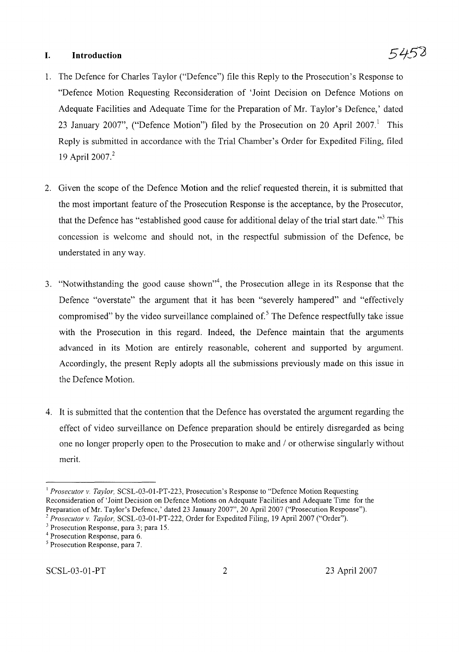## **I. Introduction**

- 1. The Defence for Charles Taylor ("Defence") file this Reply to the Prosecution's Response to "Defence Motion Requesting Reconsideration of 'Joint Decision on Defence Motions on Adequate Facilities and Adequate Time for the Preparation of Mr. Taylor's Defence,' dated 23 January 2007", ("Defence Motion") filed by the Prosecution on 20 April 2007.<sup>1</sup> This Reply is submitted in accordance with the Trial Chamber's Order for Expedited Filing, filed 19 April 2007.<sup>2</sup>
- 2. Given the scope of the Defence Motion and the relief requested therein, it is submitted that the most important feature of the Prosecution Response is the acceptance, by the Prosecutor, that the Defence has "established good cause for additional delay of the trial start date."<sup>3</sup> This concession is welcome and should not, in the respectful submission of the Defence, be understated in any way.
- 3. "Notwithstanding the good cause shown"<sup>4</sup>, the Prosecution allege in its Response that the Defence "overstate" the argument that it has been "severely hampered" and "effectively compromised" by the video surveillance complained of.<sup>5</sup> The Defence respectfully take issue with the Prosecution in this regard. Indeed, the Defence maintain that the arguments advanced in its Motion are entirely reasonable, coherent and supported by argument. Accordingly, the present Reply adopts all the submissions previously made on this issue in the Defence Motion.
- 4. It is submitted that the contention that the Defence has overstated the argument regarding the effect of video surveillance on Defence preparation should be entirely disregarded as being one no longer properly open to the Prosecution to make and / or otherwise singularly without merit.

<sup>&</sup>lt;sup>1</sup> *Prosecutor* v. *Taylor*, SCSL-03-01-PT-223, Prosecution's Response to "Defence Motion Requesting Reconsideration of 'Joint Decision on Defence Motions on Adequate Facilities and Adequate Time for the Preparation of Mr. Taylor's Defence,' dated 23 January 2007", 20 April 2007 ("Prosecution Response").

*<sup>2</sup> Prosecutor* v. *Taylor,* SCSL-03-0l-PT-222, Order for Expedited Filing, 19 April 2007 ("Order").

<sup>3</sup> Prosecution Response, para 3; para 15.

<sup>4</sup> Prosecution Response, para 6.

<sup>5</sup> Prosecution Response, para 7.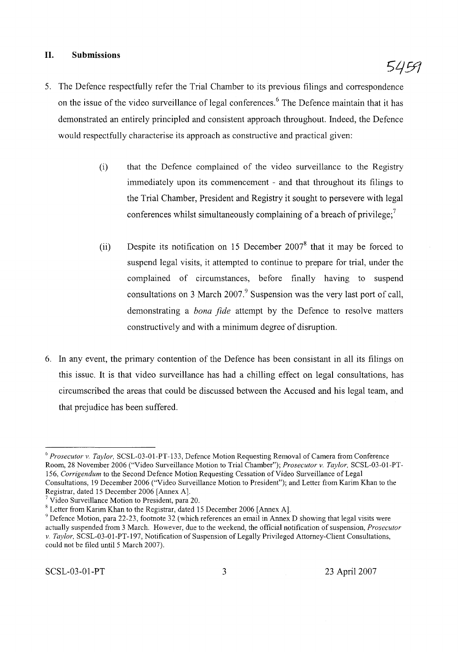## **II. Submissions**

- 5. The Defence respectfully refer the Trial Chamber to its previous filings and correspondence on the issue of the video surveillance of legal conferences.<sup>6</sup> The Defence maintain that it has demonstrated an entirely principled and consistent approach throughout. Indeed, the Defence would respectfully characterise its approach as constructive and practical given:
	- (i) that the Defence complained of the video surveillance to the Registry immediately upon its commencement - and that throughout its filings to the Trial Chamber, President and Registry it sought to persevere with legal conferences whilst simultaneously complaining of a breach of privilege;<sup>7</sup>
	- (ii) Despite its notification on 15 December  $2007<sup>8</sup>$  that it may be forced to suspend legal visits, it attempted to continue to prepare for trial, under the complained of circumstances, before finally having to suspend consultations on 3 March 2007.<sup>9</sup> Suspension was the very last port of call, demonstrating a *bona fide* attempt by the Defence to resolve matters constructively and with a minimum degree of disruption.
- 6. **In** any event, the primary contention of the Defence has been consistant in all its filings on this issue. It is that video surveillance has had a chilling effect on legal consultations, has circumscribed the areas that could be discussed between the Accused and his legal team, and that prejudice has been suffered.

5459

<sup>6</sup> *Prosecutor v. Taylor,* SCSL-03-01-PT-133, Defence Motion Requesting Removal of Camera from Conference Room, 28 November 2006 ("Video Surveillance Motion to Trial Chamber"); *Prosecutor v. Taylor,* SCSL-03-01-PT-*156, Corrigendum* to the Second Defence Motion Requesting Cessation of Video Surveillance of Legal Consultations, 19 December 2006 ("Video Surveillance Motion to President"); and Letter from Karim Khan to the Registrar, dated 15 December 2006 [Annex A).

 $7$  Video Surveillance Motion to President, para 20.

<sup>8</sup> Letter from Karim Khan to the Registrar, dated 15 December 2006 [Annex A].

 $9$  Defence Motion, para 22-23, footnote 32 (which references an email in Annex D showing that legal visits were actually suspended from 3 March. However, due to the weekend, the official notification ofsuspension, *Prosecutor v. Taylor.* SCSL-03-0 I-PT-197, Notification of Suspension ofLegally Privileged Attorney-Client Consultations, could not be filed until 5 March 2007).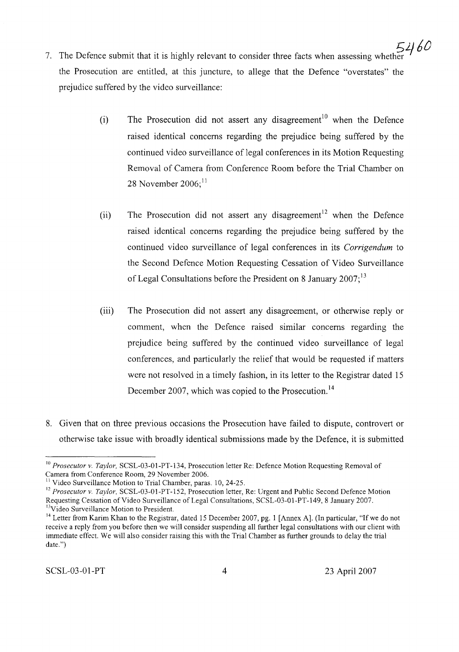- 7. The Defence submit that it is highly relevant to consider three facts when assessing whether  $2460$ the Prosecution are entitled, at this juncture, to allege that the Defence "overstates" the prejudice suffered by the video surveillance:
	- (i) The Prosecution did not assert any disagreement<sup>10</sup> when the Defence raised identical concerns regarding the prejudice being suffered by the continued video surveillance of legal conferences in its Motion Requesting Removal of Camera from Conference Room before the Trial Chamber on 28 November  $2006$ ;<sup>11</sup>
	- (ii) The Prosecution did not assert any disagreement<sup>12</sup> when the Defence raised identical concerns regarding the prejudice being suffered by the continued video surveillance of legal conferences in its *Corrigendum* to the Second Defence Motion Requesting Cessation of Video Surveillance of Legal Consultations before the President on 8 January 2007;<sup>13</sup>
	- (iii) The Prosecution did not assert any disagreement, or otherwise reply or comment, when the Defence raised similar concerns regarding the prejudice being suffered by the continued video surveillance of legal conferences, and particularly the relief that would be requested if matters were not resolved in a timely fashion, in its letter to the Registrar dated 15 December 2007, which was copied to the Prosecution.<sup>14</sup>
- 8. Given that on three previous occasions the Prosecution have failed to dispute, controvert or otherwise take issue with broadly identical submissions made by the Defence, it is submitted

<sup>10</sup> *Prosecutor* v. *Taylor,* SCSL-03-0l-PT-134, Prosecution letter Re: Defence Motion Requesting Removal of Camera from Conference Room, 29 November 2006.

<sup>&</sup>lt;sup>11</sup> Video Surveillance Motion to Trial Chamber, paras. 10, 24-25.

<sup>12</sup> *Prosecutor* v. *Taylor,* SCSL-03-0l-PT-152, Prosecution letter, Re: Urgent and Public Second Defence Motion Requesting Cessation of Video Surveillance of Legal Consultations, SCSL-03-0l-PT-149, 8 January 2007. <sup>13</sup>Video Surveillance Motion to President.

<sup>&</sup>lt;sup>14</sup> Letter from Karim Khan to the Registrar, dated 15 December 2007, pg. 1 [Annex A]. (In particular, "If we do not receive a reply from you before then we will consider suspending all further legal consultations with our client with immediate effect. We will also consider raising this with the Trial Chamber as further grounds to delay the trial date.")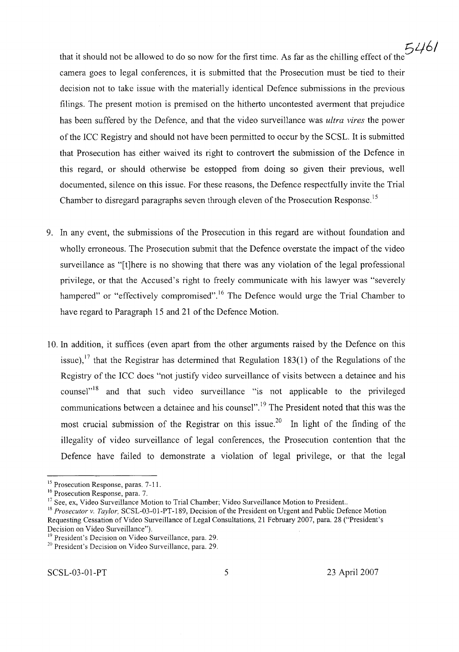that it should not be allowed to do so now for the first time. As far as the chilling effect of the the camera goes to legal conferences, it is submitted that the Prosecution must be tied to their decision not to take issue with the materially identical Defence submissions in the previous filings. The present motion is premised on the hitherto uncontested averment that prejudice has been suffered by the Defence, and that the video surveillance was *ultra vires* the power ofthe ICC Registry and should not have been permitted to occur by the SCSL. It is submitted that Prosecution has either waived its right to controvert the submission of the Defence in this regard, or should otherwise be estopped from doing so given their previous, well documented, silence on this issue. For these reasons, the Defence respectfully invite the Trial Chamber to disregard paragraphs seven through eleven of the Prosecution Response.<sup>15</sup>

- 9. In any event, the submissions of the Prosecution in this regard are without foundation and wholly erroneous. The Prosecution submit that the Defence overstate the impact of the video surveillance as "[t]here is no showing that there was any violation of the legal professional privilege, or that the Accused's right to freely communicate with his lawyer was "severely hampered" or "effectively compromised".<sup>16</sup> The Defence would urge the Trial Chamber to have regard to Paragraph 15 and 21 of the Defence Motion.
- 10. In addition, it suffices (even apart from the other arguments raised by the Defence on this issue),<sup>17</sup> that the Registrar has determined that Regulation 183(1) of the Regulations of the Registry of the ICC does "not justify video surveillance of visits between a detainee and his counsel<sup>"18</sup> and that such video surveillance "is not applicable to the privileged communications between a detainee and his counsel".<sup>19</sup> The President noted that this was the most crucial submission of the Registrar on this issue.<sup>20</sup> In light of the finding of the illegality of video surveillance of legal conferences, the Prosecution contention that the Defence have failed to demonstrate a violation of legal privilege, or that the legal

<sup>&</sup>lt;sup>15</sup> Prosecution Response, paras. 7-11.

<sup>16</sup> Prosecution Response, para. 7.

<sup>&</sup>lt;sup>17</sup> See, ex, Video Surveillance Motion to Trial Chamber; Video Surveillance Motion to President..

<sup>18</sup> *Prosecutor* v. *Taylor,* SCSL-03-01-PT-189, Decision of the President on Urgent and Public Defence Motion Requesting Cessation of Video Surveillance of Legal Consultations, 21 February 2007, para. 28 ("President's Decision on Video Surveillance").

<sup>&</sup>lt;sup>19</sup> President's Decision on Video Surveillance, para. 29.

<sup>&</sup>lt;sup>20</sup> President's Decision on Video Surveillance, para. 29.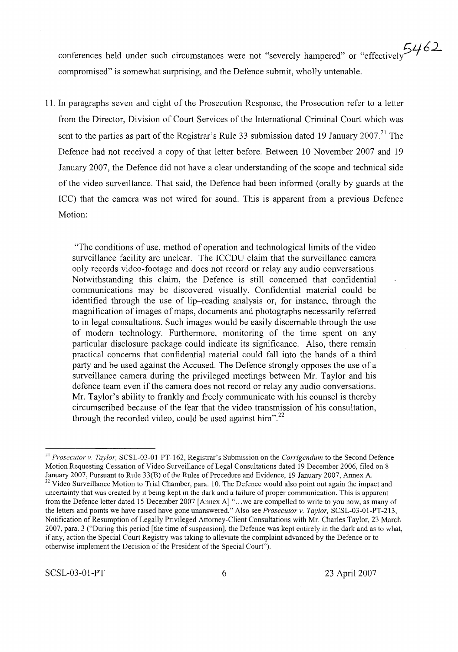conferences held under such circumstances were not "severely hampered" or "effectively $5462$ compromised" is somewhat surprising, and the Defence submit, wholly untenable.

11. In paragraphs seven and eight of the Prosecution Response, the Prosecution refer to a letter from the Director, Division of Court Services of the International Criminal Court which was sent to the parties as part of the Registrar's Rule 33 submission dated 19 January 2007.<sup>21</sup> The Defence had not received a copy of that letter before. Between 10 November 2007 and 19 January 2007, the Defence did not have a clear understanding of the scope and technical side of the video surveillance. That said, the Defence had been informed (orally by guards at the ICC) that the camera was not wired for sound. This is apparent from a previous Defence Motion:

"The conditions of use, method of operation and technological limits of the video surveillance facility are unclear. The ICCDU claim that the surveillance camera only records video-footage and does not record or relay any audio conversations. Notwithstanding this claim, the Defence is still concerned that confidential communications may be discovered visually. Confidential material could be identified through the use of lip-reading analysis or, for instance, through the magnification of images of maps, documents and photographs necessarily referred to in legal consultations. Such images would be easily discernable through the use of modem technology. Furthermore, monitoring of the time spent on any particular disclosure package could indicate its significance. Also, there remain practical concerns that confidential material could fall into the hands of a third party and be used against the Accused. The Defence strongly opposes the use of a surveillance camera during the privileged meetings between Mr. Taylor and his defence team even if the camera does not record or relay any audio conversations. Mr. Taylor's ability to frankly and freely communicate with his counsel is thereby circumscribed because of the fear that the video transmission of his consultation, through the recorded video, could be used against him".<sup>22</sup>

<sup>21</sup> *Prosecutor v. Taylor,* SCSL-03-0l-PT-162, Registrar's Submission on the *Corrigendum* to the Second Defence Motion Requesting Cessation of Video Surveillance of Legal Consultations dated 19 December 2006, filed on 8 January 2007, Pursuant to Rule 33(B) of the Rules of Procedure and Evidence, 19 January 2007, Annex A. <sup>22</sup> Video Surveillance Motion to Trial Chamber, para. 10. The Defence would also point out again the impact and uncertainty that was created by it being kept in the dark and a failure of proper communication. This is apparent from the Defence letter dated 15 December 2007 [Annex A] "... we are compelled to write to you now, as many of the letters and points we have raised have gone unanswered." Also see *Prosecutor* v. *Taylor,* SCSL-03-0l-PT-213, Notification of Resumption of Legally Privileged Attorney-Client Consultations with Mr. Charles Taylor, 23 March 2007, para. 3 ("During this period [the time of suspension], the Defence was kept entirely in the dark and as to what, if any, action the Special Court Registry was taking to alleviate the complaint advanced by the Defence or to otherwise implement the Decision of the President of the Special Court").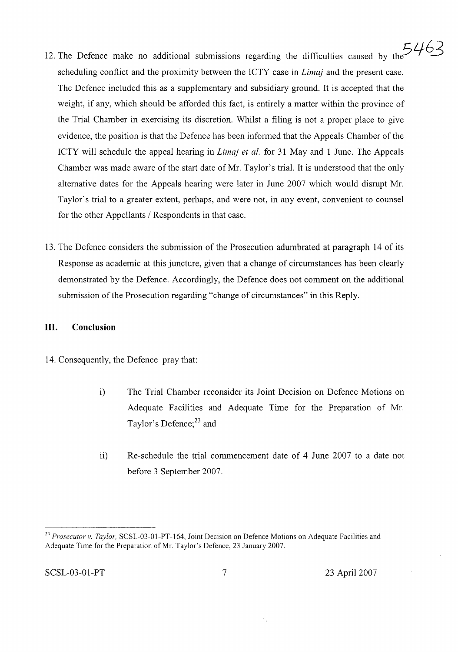- 12. The Defence make no additional submissions regarding the difficulties caused by the  $5463$ scheduling conflict and the proximity between the ICTY case in *Limaj* and the present case. The Defence included this as a supplementary and subsidiary ground. It is accepted that the weight, if any, which should be afforded this fact, is entirely a matter within the province of the Trial Chamber in exercising its discretion. Whilst a filing is not a proper place to give evidence, the position is that the Defence has been informed that the Appeals Chamber of the ICTY will schedule the appeal hearing in *Lima} et al.* for 31 May and 1 June. The Appeals Chamber was made aware of the start date of Mr. Taylor's trial. It is understood that the only alternative dates for the Appeals hearing were later in June 2007 which would disrupt Mr. Taylor's trial to a greater extent, perhaps, and were not, in any event, convenient to counsel for the other Appellants / Respondents in that case.
- 13. The Defence considers the submission of the Prosecution adumbrated at paragraph 14 of its Response as academic at this juncture, given that a change of circumstances has been clearly demonstrated by the Defence. Accordingly, the Defence does not comment on the additional submission of the Prosecution regarding "change of circumstances" in this Reply.

# **III. Conclusion**

- 14. Consequently, the Defence pray that:
	- i) The Trial Chamber reconsider its Joint Decision on Defence Motions on Adequate Facilities and Adequate Time for the Preparation of Mr. Taylor's Defence;<sup>23</sup> and
	- ii) Re-schedule the trial commencement date of 4 June 2007 to a date not before 3 September 2007.

*<sup>23</sup> Prosecutor* v. *Taylor,* SCSL-03-0l-PT-164, Joint Decision on Defence Motions on Adequate Facilities and Adequate Time for the Preparation of Mr. Taylor's Defence, 23 January 2007.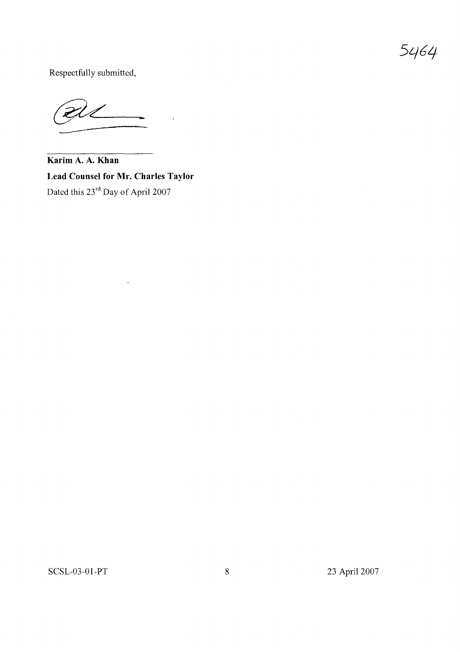5464

Respectfully submitted,

 $\frac{2}{\sqrt{2}}$ 

**Karim A. A. Khan Lead Counsel for Mr. Charles Taylor** Dated this 23<sup>rd</sup> Day of April 2007

SCSL-03-01-PT 8 23 April 2007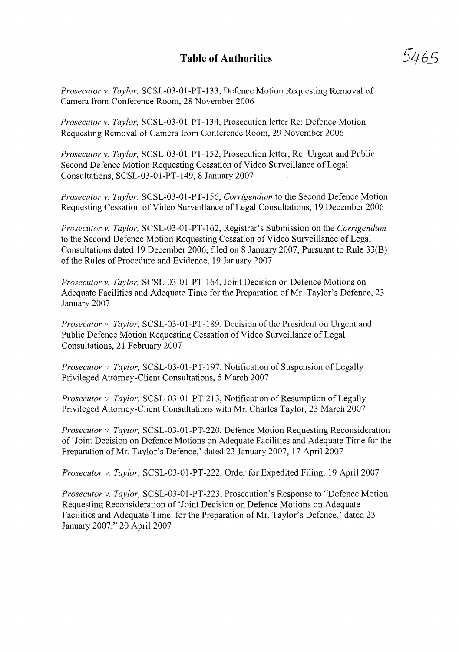# **Table of Authorities**

*Prosecutor v. Taylor,* SCSL-03-01-PT-133, Defence Motion Requesting Removal of Camera from Conference Room, 28 November 2006

*Prosecutor v. Taylor,* SCSL-03-01-PT-134, Prosecution letter Re: Defence Motion Requesting Removal of Camera from Conference Room, 29 November 2006

*Prosecutor v. Taylor,* SCSL-03-01-PT-152, Prosecution letter, Re: Urgent and Public Second Defence Motion Requesting Cessation of Video Surveillance of Legal Consultations, SCSL-03-01-PT-149, 8 January 2007

*Prosecutor v. Taylor,* SCSL-03-01-PT-156, *Corrigendum* to the Second Defence Motion Requesting Cessation of Video Surveillance of Legal Consultations, 19 December 2006

*Prosecutor v. Taylor,* SCSL-03-01-PT-162, Registrar's Submission on the *Corrigendum* to the Second Defence Motion Requesting Cessation of Video Surveillance of Legal Consultations dated 19 December 2006, filed on 8 January 2007, Pursuant to Rule 33(B) of the Rules of Procedure and Evidence, 19 January 2007

*Prosecutor v. Taylor,* SCSL-03-01-PT-164, Joint Decision on Defence Motions on Adequate Facilities and Adequate Time for the Preparation of Mr. Taylor's Defence, 23 January 2007

*Prosecutor v. Taylor,* SCSL-03-01-PT-189, Decision ofthe President on Urgent and Public Defence Motion Requesting Cessation of Video Surveillance of Legal Consultations, 21 February 2007

*Prosecutor v. Taylor,* SCSL-03-01-PT-197, Notification of Suspension of Legally Privileged Attorney-Client Consultations, 5 March 2007

*Prosecutor v. Taylor,* SCSL-03-01-PT-213, Notification of Resumption of Legally Privileged Attorney-Client Consultations with Mr. Charles Taylor, 23 March 2007

*Prosecutor v. Taylor,* SCSL-03-01-PT-220, Defence Motion Requesting Reconsideration of 'Joint Decision on Defence Motions on Adequate Facilities and Adequate Time for the Preparation ofMr. Taylor's Defence,' dated 23 January 2007, 17 April 2007

*Prosecutor v. Taylor,* SCSL-03-01-PT-222, Order for Expedited Filing, 19 April 2007

*Prosecutor v. Taylor,* SCSL-03-01-PT-223, Prosecution's Response to "Defence Motion Requesting Reconsideration of 'Joint Decision on Defence Motions on Adequate Facilities and Adequate Time for the Preparation of Mr. Taylor's Defence,' dated 23 January 2007," 20 April 2007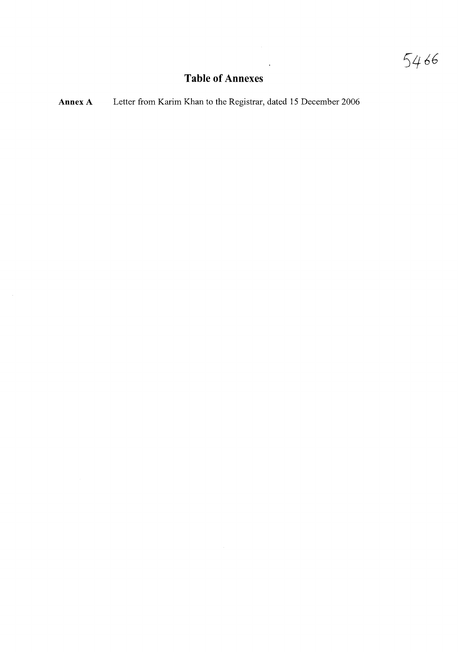# **Table of Annexes**

 $\ddot{\phantom{1}}$ 

**Annex A** Letter from Karim Khan to the Registrar, dated 15 December 2006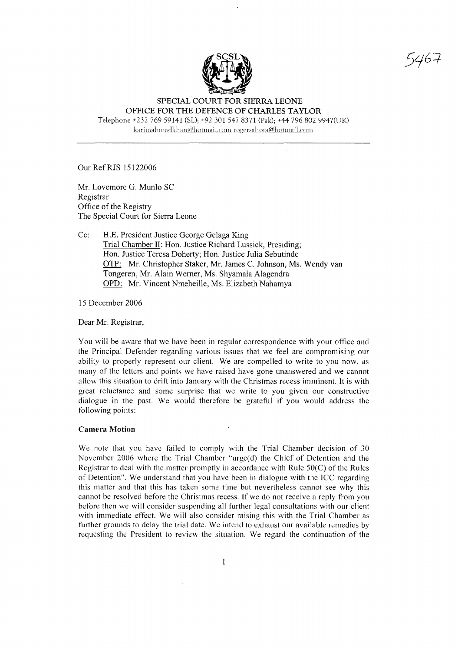

5467

#### SPECIAL COURT FOR SIERRA LEONE OFFICE FOR THE DEFENCE OF CHARLES TAYLOR

Telephone +232 769 59141 (SL); +92 3015478371 (Pak); +44 796 802 9947(UK) karimahmadkhan@hotmail.com rogersahota@hotmail.com

Our Ref RJS 15122006

Mr. Lovemore G. Mun10 SC Registrar Office of the Registry The Special Court for Sierra Leone

#### Cc: H.E. President Justice George Gelaga King Trial Chamber II: Hon. Justice Richard Lussick, Presiding; Hon. Justice Teresa Doherty; Hon. Justice Julia Sebutinde OTP: Mr. Christopher Staker, Mr. James C. Johnson, Ms. Wendy van Tongeren, Mr. Alain Werner, Ms. Shyamala A1agendra OPD: Mr. Vincent Nmeheille, Ms. Elizabeth Nahamya

15 December 2006

Dear Mr. Registrar,

You will be aware that we have been in regular correspondence with your office and the Principal Defender regarding various issues that we feel are compromising our ability to properly represent our client. We are compelled to write to you now, as many of the letters and points we have raised have gone unanswered and we cannot allow this situation to drift into January with the Christmas recess imminent. It is with great reluctance and some surprise that we write to you given our constructive dialogue in the past. We would therefore be grateful if you would address the following points:

#### Camera Motion

We note that you have failed to comply with the Trial Chamber decision of 30 November 2006 where the Trial Chamber "urge(d) the Chief of Detention and the Registrar to deal with the matter promptly in accordance with Rule  $50(C)$  of the Rules of Detention". We understand that you have been in dialogue with the ICC regarding this matter and that this has taken some time but nevertheless cannot see why this cannot be resolved before the Christmas recess. If we do not receive a reply from you before then we will consider suspending all further legal consultations with our client with immediate effect. We will also consider raising this with the Trial Chamber as further grounds to delay the trial date. We intend to exhaust our available remedies by requesting the President to review the situation. We regard the continuation of the